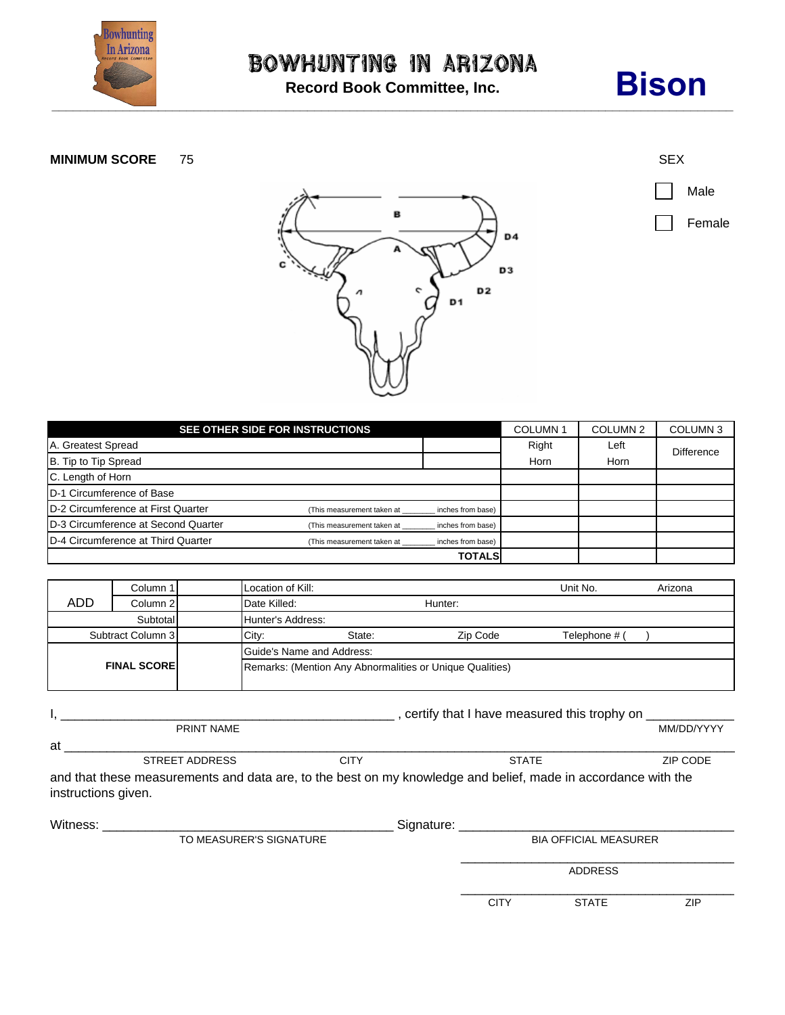

**Record Book Committee, Inc.**

## **Bison**

## **MINIMUM SCORE** 75 SEX







| SEE OTHER SIDE FOR INSTRUCTIONS            |                            |                   |       | COLUMN <sub>2</sub> | COLUMN <sub>3</sub> |  |
|--------------------------------------------|----------------------------|-------------------|-------|---------------------|---------------------|--|
| A. Greatest Spread                         |                            |                   | Right | Left                | <b>Difference</b>   |  |
| B. Tip to Tip Spread                       |                            |                   |       | Horn                |                     |  |
| C. Length of Horn                          |                            |                   |       |                     |                     |  |
| D-1 Circumference of Base                  |                            |                   |       |                     |                     |  |
| D-2 Circumference at First Quarter         | (This measurement taken at | inches from base) |       |                     |                     |  |
| D-3 Circumference at Second Quarter        | (This measurement taken at | inches from base) |       |                     |                     |  |
| <b>ID-4 Circumference at Third Quarter</b> | (This measurement taken at | inches from base) |       |                     |                     |  |
|                                            |                            | <b>TOTALS</b>     |       |                     |                     |  |

|                    | Column 1 | Location of Kill:         |        |                                                          | Unit No.      | Arizona |  |
|--------------------|----------|---------------------------|--------|----------------------------------------------------------|---------------|---------|--|
| <b>ADD</b>         | Column 2 | Date Killed:              |        | Hunter:                                                  |               |         |  |
| Subtotal           |          | Hunter's Address:         |        |                                                          |               |         |  |
| Subtract Column 3  |          | City:                     | State: | Zip Code                                                 | Telephone # ( |         |  |
|                    |          | Guide's Name and Address: |        |                                                          |               |         |  |
| <b>FINAL SCORE</b> |          |                           |        | Remarks: (Mention Any Abnormalities or Unique Qualities) |               |         |  |

|                                                                                                               |                     | certify that I have measured this trophy on |              |            |  |  |  |  |
|---------------------------------------------------------------------------------------------------------------|---------------------|---------------------------------------------|--------------|------------|--|--|--|--|
|                                                                                                               | <b>PRINT NAME</b>   |                                             |              | MM/DD/YYYY |  |  |  |  |
| at                                                                                                            |                     |                                             |              |            |  |  |  |  |
|                                                                                                               | STREET ADDRESS      | CITY                                        | <b>STATE</b> | ZIP CODE   |  |  |  |  |
| and that these measurements and data are, to the best on my knowledge and belief, made in accordance with the |                     |                                             |              |            |  |  |  |  |
|                                                                                                               | instructions given. |                                             |              |            |  |  |  |  |

| Witness: | Signature:              |  |                              |                |     |  |
|----------|-------------------------|--|------------------------------|----------------|-----|--|
|          | TO MEASURER'S SIGNATURE |  | <b>BIA OFFICIAL MEASURER</b> |                |     |  |
|          |                         |  |                              | <b>ADDRESS</b> |     |  |
|          |                         |  | <b>CITY</b>                  | <b>STATE</b>   | ZIP |  |